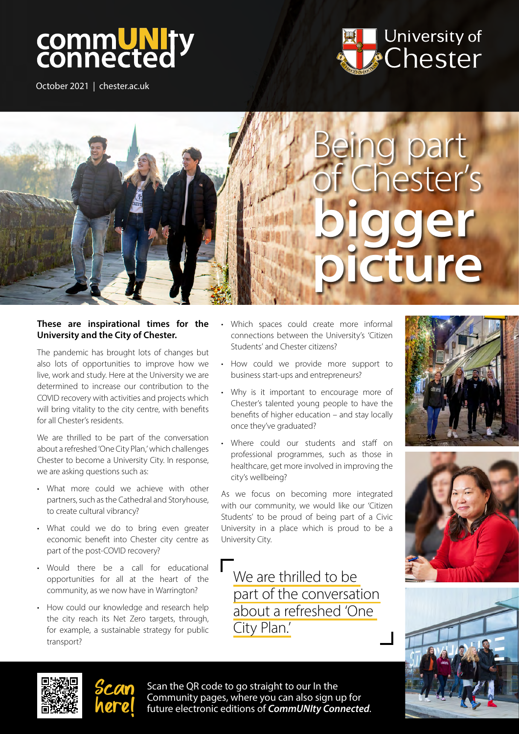# commUNIty<br>connected

October 2021 | chester.ac.uk





#### These are inspirational times for the University and the City of Chester.

The pandemic has brought lots of changes but also lots of opportunities to improve how we live, work and study. Here at the University we are determined to increase our contribution to the COVID recovery with activities and projects which will bring vitality to the city centre, with benefits for all Chester's residents.

We are thrilled to be part of the conversation about a refreshed 'One City Plan,' which challenges Chester to become a University City. In response, we are asking questions such as:

- What more could we achieve with other partners, such as the Cathedral and Storyhouse, to create cultural vibrancy?
- What could we do to bring even greater economic benefit into Chester city centre as part of the post-COVID recovery?
- Would there be a call for educational opportunities for all at the heart of the community, as we now have in Warrington?
- How could our knowledge and research help the city reach its Net Zero targets, through, for example, a sustainable strategy for public transport?
- Which spaces could create more informal connections between the University's 'Citizen Students' and Chester citizens?
- How could we provide more support to business start-ups and entrepreneurs?
- Why is it important to encourage more of Chester's talented young people to have the benefits of higher education – and stay locally once they've graduated?
- Where could our students and staff on professional programmes, such as those in healthcare, get more involved in improving the city's wellbeing?

As we focus on becoming more integrated with our community, we would like our 'Citizen Students' to be proud of being part of a Civic University in a place which is proud to be a University City.

We are thrilled to be part of the conversation about a refreshed 'One City Plan.'









Scan the QR code to go straight to our In the Community pages, where you can also sign up for future electronic editions of *CommUNIty Connected*.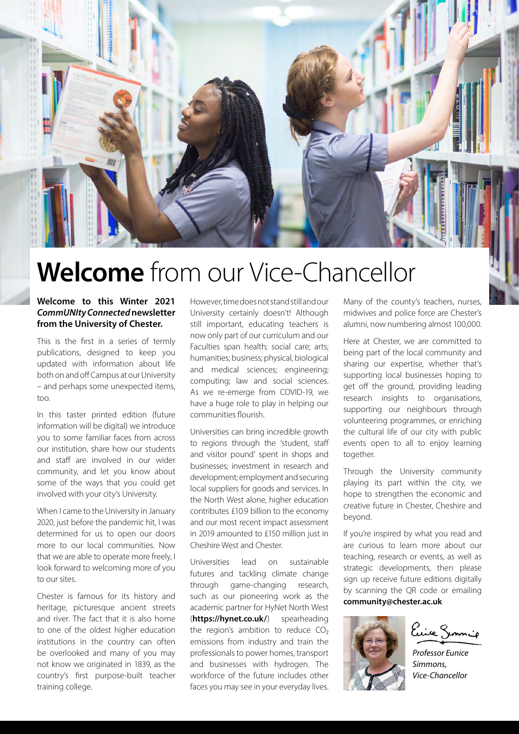

## Welcome from our Vice-Chancellor

#### Welcome to this Winter 2021 *CommUNIty Connected* newsletter from the University of Chester.

This is the first in a series of termly publications, designed to keep you updated with information about life both on and off Campus at our University – and perhaps some unexpected items, too.

In this taster printed edition (future information will be digital) we introduce you to some familiar faces from across our institution, share how our students and staff are involved in our wider community, and let you know about some of the ways that you could get involved with your city's University.

When I came to the University in January 2020, just before the pandemic hit, I was determined for us to open our doors more to our local communities. Now that we are able to operate more freely, I look forward to welcoming more of you to our sites.

Chester is famous for its history and heritage, picturesque ancient streets and river. The fact that it is also home to one of the oldest higher education institutions in the country can often be overlooked and many of you may not know we originated in 1839, as the country's first purpose-built teacher training college.

However, time does not stand still and our University certainly doesn't! Although still important, educating teachers is now only part of our curriculum and our Faculties span health; social care; arts; humanities; business; physical, biological and medical sciences; engineering; computing; law and social sciences. As we re-emerge from COVID-19, we have a huge role to play in helping our communities flourish.

Universities can bring incredible growth to regions through the 'student, staff and visitor pound' spent in shops and businesses; investment in research and development; employment and securing local suppliers for goods and services. In the North West alone, higher education contributes £10.9 billion to the economy and our most recent impact assessment in 2019 amounted to £150 million just in Cheshire West and Chester.

Universities lead on sustainable futures and tackling climate change through game-changing research, such as our pioneering work as the academic partner for HyNet North West ([https://hynet.co.uk/\)](https://hynet.co.uk/) spearheading the region's ambition to reduce  $CO<sub>2</sub>$ emissions from industry and train the professionals to power homes, transport and businesses with hydrogen. The workforce of the future includes other faces you may see in your everyday lives. Many of the county's teachers, nurses, midwives and police force are Chester's alumni, now numbering almost 100,000.

Here at Chester, we are committed to being part of the local community and sharing our expertise, whether that's supporting local businesses hoping to get off the ground, providing leading research insights to organisations, supporting our neighbours through volunteering programmes, or enriching the cultural life of our city with public events open to all to enjoy learning together.

Through the University community playing its part within the city, we hope to strengthen the economic and creative future in Chester, Cheshire and beyond.

If you're inspired by what you read and are curious to learn more about our teaching, research or events, as well as strategic developments, then please sign up receive future editions digitally by scanning the QR code or emailing [community@chester.ac.uk](mailto:community@chester.ac.uk)



Euice Semmio

*Professor Eunice Simmons, Vice-Chancellor*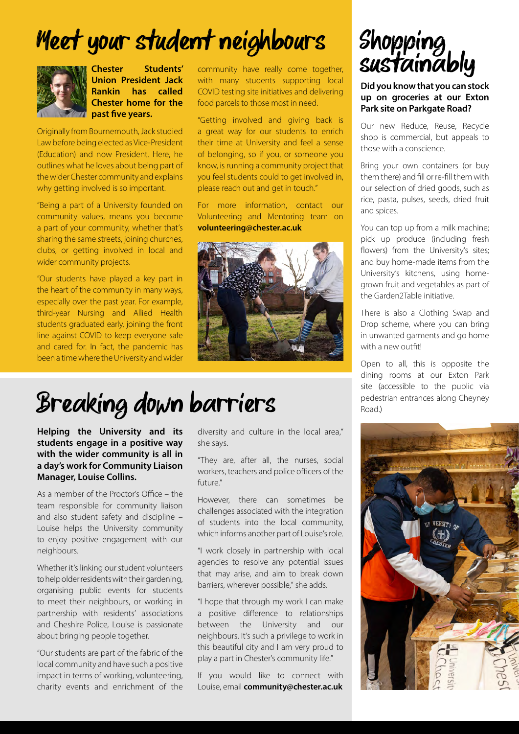# Meet your student neighbours



Chester Students' Union President Jack Rankin has called Chester home for the **The past five years.** 

Originally from Bournemouth, Jack studied Law before being elected as Vice-President (Education) and now President. Here, he outlines what he loves about being part of the wider Chester community and explains why getting involved is so important.

"Being a part of a University founded on community values, means you become a part of your community, whether that's sharing the same streets, joining churches, clubs, or getting involved in local and wider community projects.

"Our students have played a key part in the heart of the community in many ways, especially over the past year. For example, third-year Nursing and Allied Health students graduated early, joining the front line against COVID to keep everyone safe and cared for. In fact, the pandemic has been a time where the University and wider community have really come together, with many students supporting local COVID testing site initiatives and delivering food parcels to those most in need.

"Getting involved and giving back is a great way for our students to enrich their time at University and feel a sense of belonging, so if you, or someone you know, is running a community project that you feel students could to get involved in, please reach out and get in touch."

For more information, contact our Volunteering and Mentoring team on volunteering@chester.ac.uk



## Breaking down barriers

Helping the University and its students engage in a positive way with the wider community is all in a day's work for Community Liaison Manager, Louise Collins.

As a member of the Proctor's Office – the team responsible for community liaison and also student safety and discipline – Louise helps the University community to enjoy positive engagement with our neighbours.

Whether it's linking our student volunteers to help older residents with their gardening, organising public events for students to meet their neighbours, or working in partnership with residents' associations and Cheshire Police, Louise is passionate about bringing people together.

"Our students are part of the fabric of the local community and have such a positive impact in terms of working, volunteering, charity events and enrichment of the diversity and culture in the local area," she says.

"They are, after all, the nurses, social workers, teachers and police officers of the future."

However, there can sometimes be challenges associated with the integration of students into the local community, which informs another part of Louise's role.

"I work closely in partnership with local agencies to resolve any potential issues that may arise, and aim to break down barriers, wherever possible," she adds.

"I hope that through my work I can make a positive difference to relationships between the University and our neighbours. It's such a privilege to work in this beautiful city and I am very proud to play a part in Chester's community life."

If you would like to connect with Louise, email [community@chester.ac.uk](mailto:community@chester.ac.uk)



Did you know that you can stock up on groceries at our Exton Park site on Parkgate Road?

Our new Reduce, Reuse, Recycle shop is commercial, but appeals to those with a conscience.

Bring your own containers (or buy them there) and fill or re-fill them with our selection of dried goods, such as rice, pasta, pulses, seeds, dried fruit and spices.

You can top up from a milk machine; pick up produce (including fresh flowers) from the University's sites; and buy home-made items from the University's kitchens, using homegrown fruit and vegetables as part of the Garden2Table initiative.

There is also a Clothing Swap and Drop scheme, where you can bring in unwanted garments and go home with a new outfit!

Open to all, this is opposite the dining rooms at our Exton Park site (accessible to the public via pedestrian entrances along Cheyney Road.)